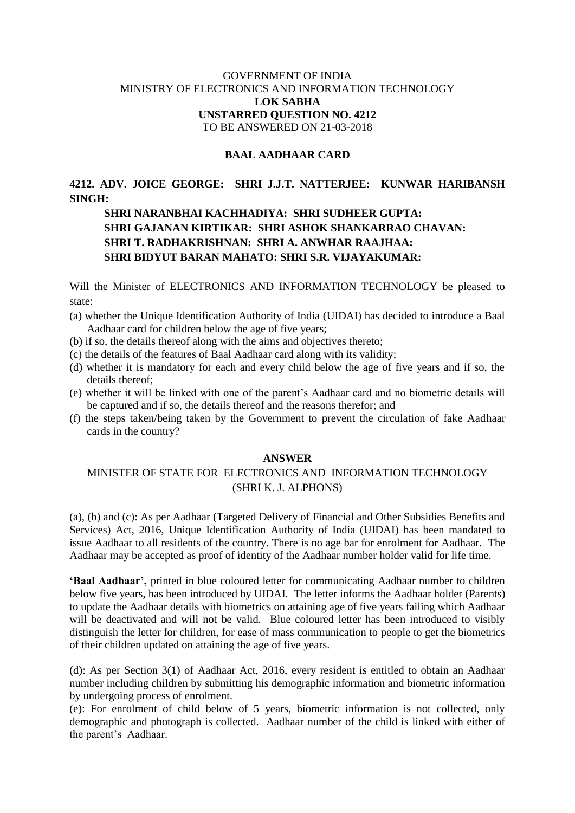### GOVERNMENT OF INDIA MINISTRY OF ELECTRONICS AND INFORMATION TECHNOLOGY **LOK SABHA UNSTARRED QUESTION NO. 4212** TO BE ANSWERED ON 21-03-2018

#### **BAAL AADHAAR CARD**

## **4212. ADV. JOICE GEORGE: SHRI J.J.T. NATTERJEE: KUNWAR HARIBANSH SINGH:**

# **SHRI NARANBHAI KACHHADIYA: SHRI SUDHEER GUPTA: SHRI GAJANAN KIRTIKAR: SHRI ASHOK SHANKARRAO CHAVAN: SHRI T. RADHAKRISHNAN: SHRI A. ANWHAR RAAJHAA: SHRI BIDYUT BARAN MAHATO: SHRI S.R. VIJAYAKUMAR:**

Will the Minister of ELECTRONICS AND INFORMATION TECHNOLOGY be pleased to state:

- (a) whether the Unique Identification Authority of India (UIDAI) has decided to introduce a Baal Aadhaar card for children below the age of five years;
- (b) if so, the details thereof along with the aims and objectives thereto;
- (c) the details of the features of Baal Aadhaar card along with its validity;
- (d) whether it is mandatory for each and every child below the age of five years and if so, the details thereof;
- (e) whether it will be linked with one of the parent's Aadhaar card and no biometric details will be captured and if so, the details thereof and the reasons therefor; and
- (f) the steps taken/being taken by the Government to prevent the circulation of fake Aadhaar cards in the country?

#### **ANSWER**

## MINISTER OF STATE FOR ELECTRONICS AND INFORMATION TECHNOLOGY (SHRI K. J. ALPHONS)

(a), (b) and (c): As per Aadhaar (Targeted Delivery of Financial and Other Subsidies Benefits and Services) Act, 2016, Unique Identification Authority of India (UIDAI) has been mandated to issue Aadhaar to all residents of the country. There is no age bar for enrolment for Aadhaar. The Aadhaar may be accepted as proof of identity of the Aadhaar number holder valid for life time.

**'Baal Aadhaar',** printed in blue coloured letter for communicating Aadhaar number to children below five years, has been introduced by UIDAI. The letter informs the Aadhaar holder (Parents) to update the Aadhaar details with biometrics on attaining age of five years failing which Aadhaar will be deactivated and will not be valid. Blue coloured letter has been introduced to visibly distinguish the letter for children, for ease of mass communication to people to get the biometrics of their children updated on attaining the age of five years.

(d): As per Section 3(1) of Aadhaar Act, 2016, every resident is entitled to obtain an Aadhaar number including children by submitting his demographic information and biometric information by undergoing process of enrolment.

(e): For enrolment of child below of 5 years, biometric information is not collected, only demographic and photograph is collected. Aadhaar number of the child is linked with either of the parent's Aadhaar.